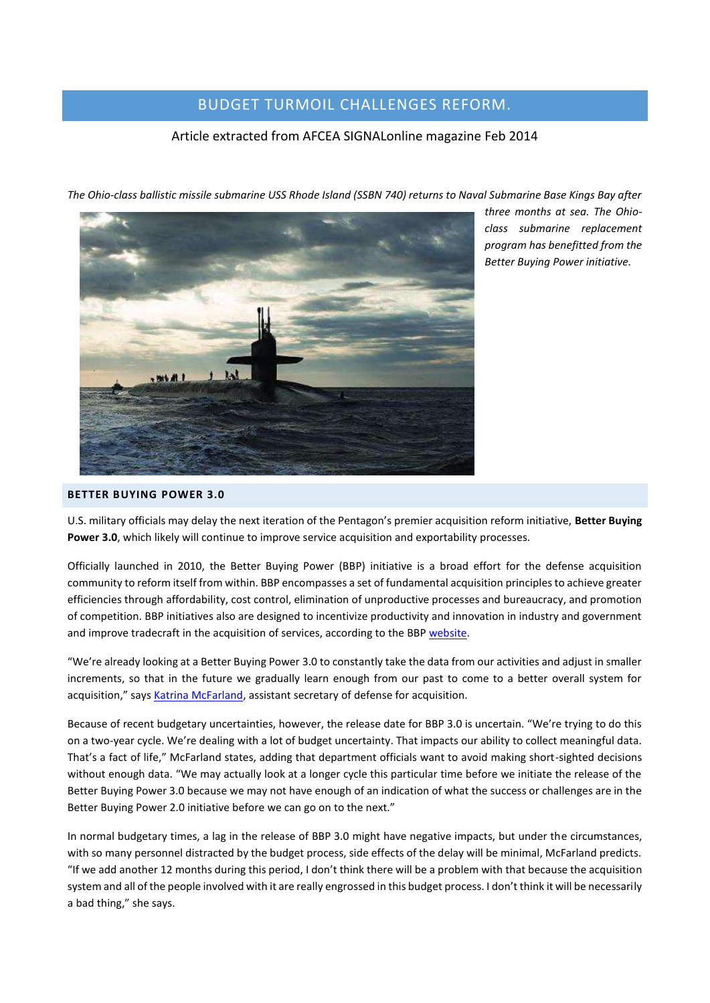# BUDGET TURMOIL CHALLENGES REFORM.

## Article extracted from AFCEA SIGNALonline magazine Feb 2014

. mit at 1

*The Ohio-class ballistic missile submarine USS Rhode Island (SSBN 740) returns to Naval Submarine Base Kings Bay after* 

*three months at sea. The Ohioclass submarine replacement program has benefitted from the Better Buying Power initiative.*

#### **BETTER BUYING POWER 3.0**

U.S. military officials may delay the next iteration of the Pentagon's premier acquisition reform initiative, **Better Buying Power 3.0**, which likely will continue to improve service acquisition and exportability processes.

Officially launched in 2010, the Better Buying Power (BBP) initiative is a broad effort for the defense acquisition community to reform itself from within. BBP encompasses a set of fundamental acquisition principles to achieve greater efficiencies through affordability, cost control, elimination of unproductive processes and bureaucracy, and promotion of competition. BBP initiatives also are designed to incentivize productivity and innovation in industry and government and improve tradecraft in the acquisition of services, according to the BBP [website.](http://bbp.dau.mil/index.html)

"We're already looking at a Better Buying Power 3.0 to constantly take the data from our activities and adjust in smaller increments, so that in the future we gradually learn enough from our past to come to a better overall system for acquisition," says **Katrina McFarland**, assistant secretary of defense for acquisition.

Because of recent budgetary uncertainties, however, the release date for BBP 3.0 is uncertain. "We're trying to do this on a two-year cycle. We're dealing with a lot of budget uncertainty. That impacts our ability to collect meaningful data. That's a fact of life," McFarland states, adding that department officials want to avoid making short-sighted decisions without enough data. "We may actually look at a longer cycle this particular time before we initiate the release of the Better Buying Power 3.0 because we may not have enough of an indication of what the success or challenges are in the Better Buying Power 2.0 initiative before we can go on to the next."

In normal budgetary times, a lag in the release of BBP 3.0 might have negative impacts, but under the circumstances, with so many personnel distracted by the budget process, side effects of the delay will be minimal, McFarland predicts. "If we add another 12 months during this period, I don't think there will be a problem with that because the acquisition system and all of the people involved with it are really engrossed in this budget process. I don't think it will be necessarily a bad thing," she says.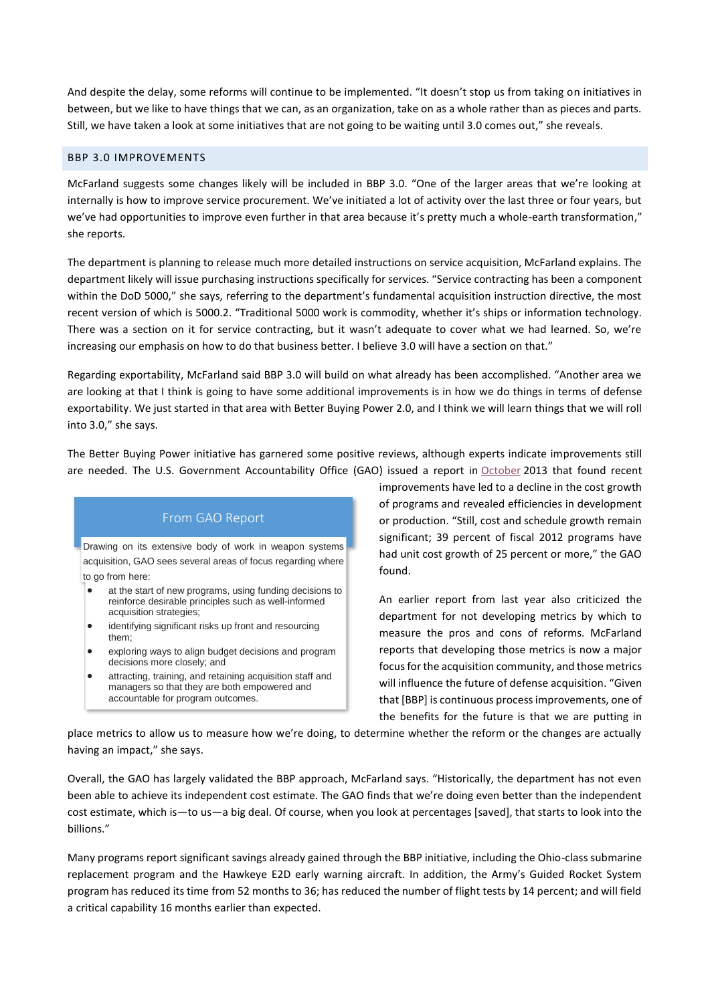And despite the delay, some reforms will continue to be implemented. "It doesn't stop us from taking on initiatives in between, but we like to have things that we can, as an organization, take on as a whole rather than as pieces and parts. Still, we have taken a look at some initiatives that are not going to be waiting until 3.0 comes out," she reveals.

#### BBP 3.0 IMPROVEMENTS

McFarland suggests some changes likely will be included in BBP 3.0. "One of the larger areas that we're looking at internally is how to improve service procurement. We've initiated a lot of activity over the last three or four years, but we've had opportunities to improve even further in that area because it's pretty much a whole-earth transformation," she reports.

The department is planning to release much more detailed instructions on service acquisition, McFarland explains. The department likely will issue purchasing instructions specifically for services. "Service contracting has been a component within the DoD 5000," she says, referring to the department's fundamental acquisition instruction directive, the most recent version of which is 5000.2. "Traditional 5000 work is commodity, whether it's ships or information technology. There was a section on it for service contracting, but it wasn't adequate to cover what we had learned. So, we're increasing our emphasis on how to do that business better. I believe 3.0 will have a section on that."

Regarding exportability, McFarland said BBP 3.0 will build on what already has been accomplished. "Another area we are looking at that I think is going to have some additional improvements is in how we do things in terms of defense exportability. We just started in that area with Better Buying Power 2.0, and I think we will learn things that we will roll into 3.0," she says.

The Better Buying Power initiative has garnered some positive reviews, although experts indicate improvements still are needed. The U.S. Government Accountability Office (GAO) issued a report in [October](http://www.gao.gov/products/GAO-14-145T) 2013 that found recent

# From GAO Report

Drawing on its extensive body of work in weapon systems acquisition, GAO sees several areas of focus regarding where to go from here:

- at the start of new programs, using funding decisions to reinforce desirable principles such as well-informed acquisition strategies;
- identifying significant risks up front and resourcing them;
- exploring ways to align budget decisions and program decisions more closely; and
- attracting, training, and retaining acquisition staff and managers so that they are both empowered and accountable for program outcomes.

improvements have led to a decline in the cost growth of programs and revealed efficiencies in development or production. "Still, cost and schedule growth remain significant; 39 percent of fiscal 2012 programs have had unit cost growth of 25 percent or more," the GAO found.

An earlier report from last year also criticized the department for not developing metrics by which to measure the pros and cons of reforms. McFarland reports that developing those metrics is now a major focus for the acquisition community, and those metrics will influence the future of defense acquisition. "Given that [BBP] is continuous process improvements, one of the benefits for the future is that we are putting in

place metrics to allow us to measure how we're doing, to determine whether the reform or the changes are actually having an impact," she says.

Overall, the GAO has largely validated the BBP approach, McFarland says. "Historically, the department has not even been able to achieve its independent cost estimate. The GAO finds that we're doing even better than the independent cost estimate, which is—to us—a big deal. Of course, when you look at percentages [saved], that starts to look into the billions."

Many programs report significant savings already gained through the BBP initiative, including the Ohio-class submarine replacement program and the Hawkeye E2D early warning aircraft. In addition, the Army's Guided Rocket System program has reduced its time from 52 months to 36; has reduced the number of flight tests by 14 percent; and will field a critical capability 16 months earlier than expected.